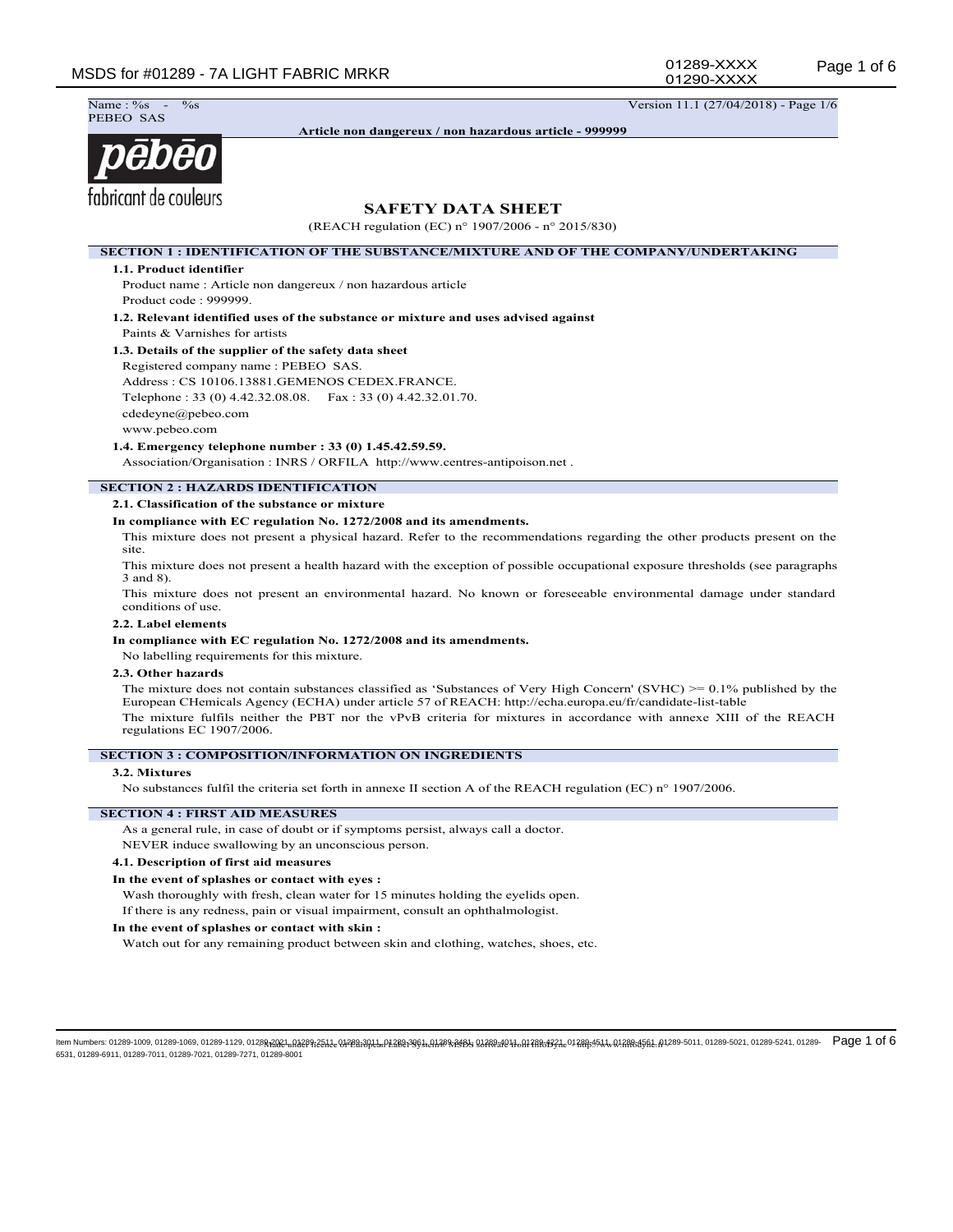01289-XXXX 01290-XXXX

 $\frac{9}{68}$  Version 11.1 (27/04/2018) - Page 1/6 Name: %<br>PEBEO SAS

**Article non dangereux / non hazardous article - 999999**

# pebēo fabricant de couleurs

# **SAFETY DATA SHEET**

(REACH regulation (EC) n° 1907/2006 - n° 2015/830)

**SECTION 1 : IDENTIFICATION OF THE SUBSTANCE/MIXTURE AND OF THE COMPANY/UNDERTAKING**

#### **1.1. Product identifier**

Product name : Article non dangereux / non hazardous article Product code : 999999.

**1.2. Relevant identified uses of the substance or mixture and uses advised against** Paints & Varnishes for artists

#### **1.3. Details of the supplier of the safety data sheet**

Registered company name : PEBEO SAS. Address : CS 10106.13881.GEMENOS CEDEX.FRANCE. Telephone : 33 (0) 4.42.32.08.08. Fax : 33 (0) 4.42.32.01.70. cdedeyne@pebeo.com www.pebeo.com

**1.4. Emergency telephone number : 33 (0) 1.45.42.59.59.**

Association/Organisation : INRS / ORFILA http://www.centres-antipoison.net .

# **SECTION 2 : HAZARDS IDENTIFICATION**

#### **2.1. Classification of the substance or mixture**

#### **In compliance with EC regulation No. 1272/2008 and its amendments.**

This mixture does not present a physical hazard. Refer to the recommendations regarding the other products present on the site.

This mixture does not present a health hazard with the exception of possible occupational exposure thresholds (see paragraphs 3 and 8).

This mixture does not present an environmental hazard. No known or foreseeable environmental damage under standard conditions of use.

#### **2.2. Label elements**

#### **In compliance with EC regulation No. 1272/2008 and its amendments.**

No labelling requirements for this mixture.

#### **2.3. Other hazards**

The mixture does not contain substances classified as 'Substances of Very High Concern' (SVHC) >= 0.1% published by the European CHemicals Agency (ECHA) under article 57 of REACH: http://echa.europa.eu/fr/candidate-list-table The mixture fulfils neither the PBT nor the vPvB criteria for mixtures in accordance with annexe XIII of the REACH regulations EC 1907/2006.

#### **SECTION 3 : COMPOSITION/INFORMATION ON INGREDIENTS**

#### **3.2. Mixtures**

No substances fulfil the criteria set forth in annexe II section A of the REACH regulation (EC) n° 1907/2006.

#### **SECTION 4 : FIRST AID MEASURES**

As a general rule, in case of doubt or if symptoms persist, always call a doctor.

NEVER induce swallowing by an unconscious person.

#### **4.1. Description of first aid measures**

#### **In the event of splashes or contact with eyes :**

Wash thoroughly with fresh, clean water for 15 minutes holding the eyelids open.

If there is any redness, pain or visual impairment, consult an ophthalmologist.

#### **In the event of splashes or contact with skin :**

Watch out for any remaining product between skin and clothing, watches, shoes, etc.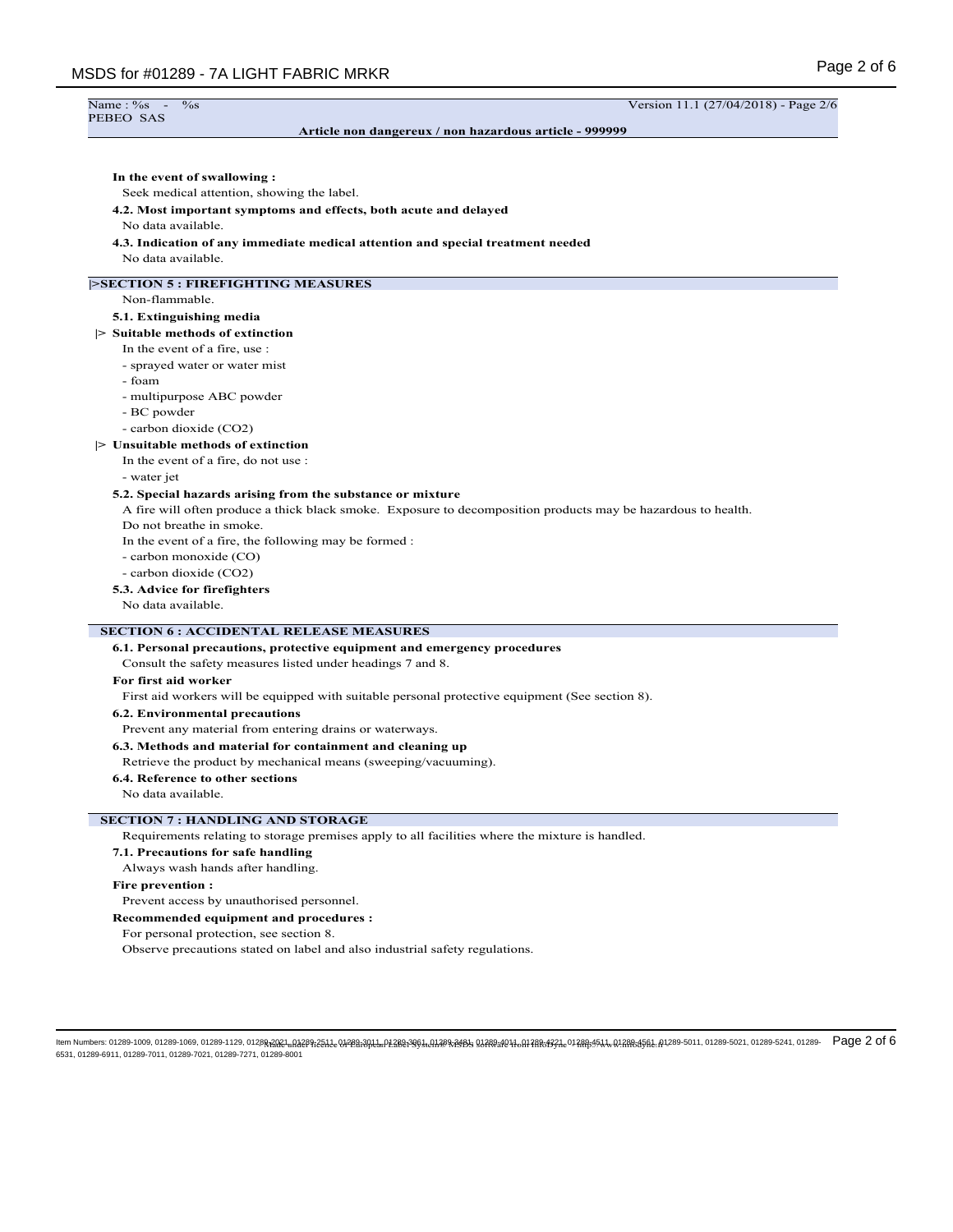| Name: %s<br>$\%$ s                                                              | Version 11.1 (27/04/2018) - Page 2/6                                                                          |
|---------------------------------------------------------------------------------|---------------------------------------------------------------------------------------------------------------|
| PEBEO SAS                                                                       | Article non dangereux / non hazardous article - 999999                                                        |
|                                                                                 |                                                                                                               |
|                                                                                 |                                                                                                               |
| In the event of swallowing:                                                     |                                                                                                               |
| Seek medical attention, showing the label.                                      |                                                                                                               |
| 4.2. Most important symptoms and effects, both acute and delayed                |                                                                                                               |
| No data available.                                                              |                                                                                                               |
| 4.3. Indication of any immediate medical attention and special treatment needed |                                                                                                               |
| No data available.                                                              |                                                                                                               |
| <b>SECTION 5: FIREFIGHTING MEASURES</b>                                         |                                                                                                               |
| Non-flammable.                                                                  |                                                                                                               |
| 5.1. Extinguishing media                                                        |                                                                                                               |
| > Suitable methods of extinction                                                |                                                                                                               |
| In the event of a fire, use:                                                    |                                                                                                               |
| - sprayed water or water mist                                                   |                                                                                                               |
| - foam                                                                          |                                                                                                               |
| - multipurpose ABC powder                                                       |                                                                                                               |
| - BC powder                                                                     |                                                                                                               |
| - carbon dioxide (CO2)                                                          |                                                                                                               |
| $\triangleright$ Unsuitable methods of extinction                               |                                                                                                               |
| In the event of a fire, do not use :                                            |                                                                                                               |
| - water jet                                                                     |                                                                                                               |
| 5.2. Special hazards arising from the substance or mixture                      |                                                                                                               |
|                                                                                 | A fire will often produce a thick black smoke. Exposure to decomposition products may be hazardous to health. |
| Do not breathe in smoke.                                                        |                                                                                                               |
| In the event of a fire, the following may be formed :                           |                                                                                                               |
| - carbon monoxide (CO)                                                          |                                                                                                               |
| - carbon dioxide (CO2)                                                          |                                                                                                               |
| 5.3. Advice for firefighters                                                    |                                                                                                               |
| No data available.                                                              |                                                                                                               |
| <b>SECTION 6 : ACCIDENTAL RELEASE MEASURES</b>                                  |                                                                                                               |
| 6.1. Personal precautions, protective equipment and emergency procedures        |                                                                                                               |
| Consult the safety measures listed under headings 7 and 8.                      |                                                                                                               |
| For first aid worker                                                            |                                                                                                               |
|                                                                                 | First aid workers will be equipped with suitable personal protective equipment (See section 8).               |
| <b>6.2. Environmental precautions</b>                                           |                                                                                                               |
| Prevent any material from entering drains or waterways.                         |                                                                                                               |
| 6.3. Methods and material for containment and cleaning up                       |                                                                                                               |

Retrieve the product by mechanical means (sweeping/vacuuming).

#### **6.4. Reference to other sections**

No data available.

# **SECTION 7 : HANDLING AND STORAGE**

Requirements relating to storage premises apply to all facilities where the mixture is handled.

#### **7.1. Precautions for safe handling**

Always wash hands after handling.

#### **Fire prevention :**

Prevent access by unauthorised personnel.

**Recommended equipment and procedures :**

For personal protection, see section 8.

Observe precautions stated on label and also industrial safety regulations.

ltem Numbers: 01289-1009, 01289-1069, 01289-1129, 0128<del>RAQ2,I,N2287251.Le.Q\$28139ALuN28823951.AA288x3951.AA288x3951 11.ABR1931.e012AR81454LeALuN2AR8.45AL.A1289-5011, 01289-5021, 01289-5221, 01289-5241, 01289-5241, 01289-5</del> 6531, 01289-6911, 01289-7011, 01289-7021, 01289-7271, 01289-8001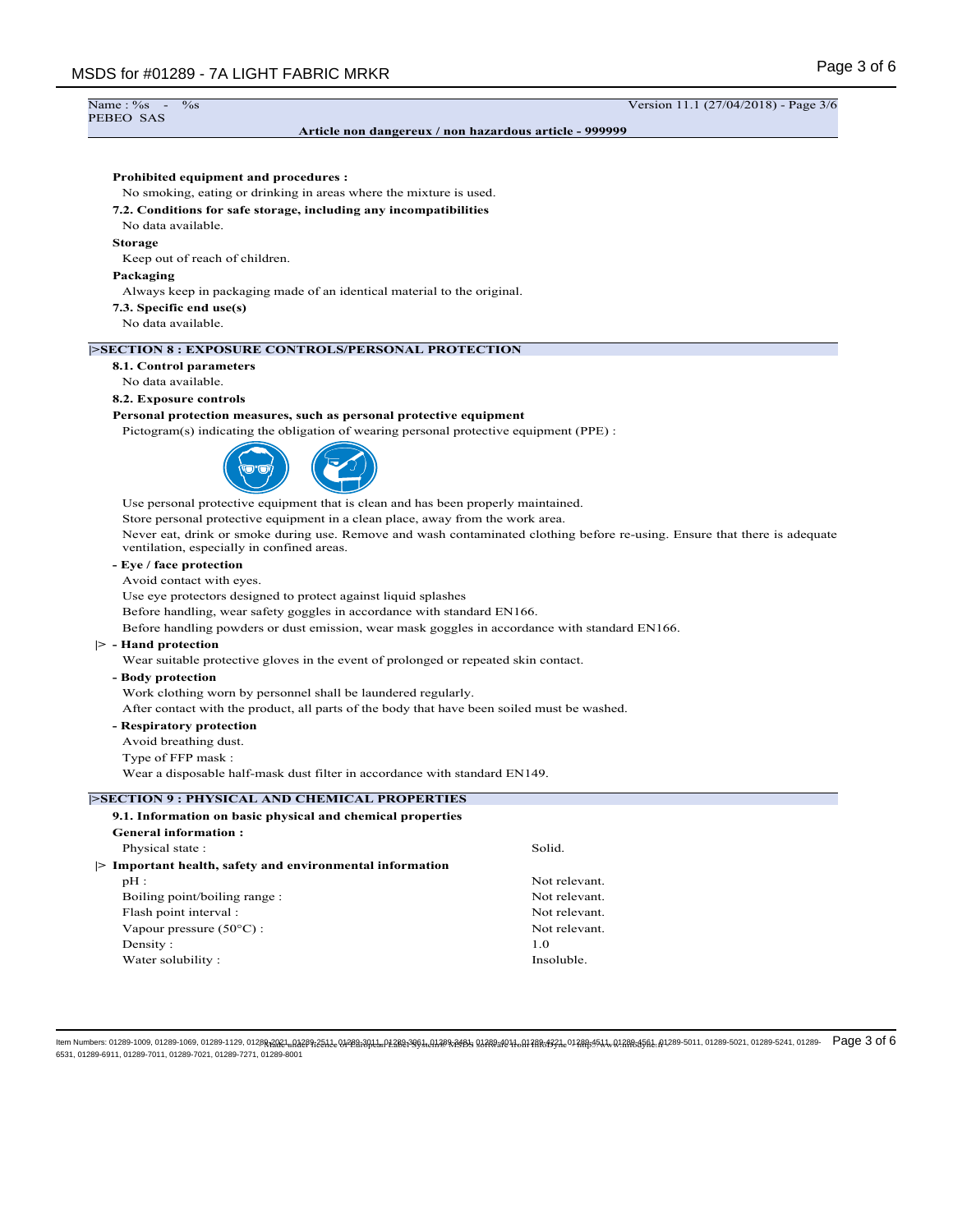# Name: %<br>PEBEO SAS

#### **Article non dangereux / non hazardous article - 999999**

## **Prohibited equipment and procedures :**

No smoking, eating or drinking in areas where the mixture is used.

#### **7.2. Conditions for safe storage, including any incompatibilities**

No data available.

#### **Storage**

Keep out of reach of children.

#### **Packaging**

Always keep in packaging made of an identical material to the original.

**7.3. Specific end use(s)**

No data available.

#### **|>SECTION 8 : EXPOSURE CONTROLS/PERSONAL PROTECTION**

#### **8.1. Control parameters**

No data available.

#### **8.2. Exposure controls**

#### **Personal protection measures, such as personal protective equipment**

Pictogram(s) indicating the obligation of wearing personal protective equipment (PPE) :



Use personal protective equipment that is clean and has been properly maintained.

Store personal protective equipment in a clean place, away from the work area.

Never eat, drink or smoke during use. Remove and wash contaminated clothing before re-using. Ensure that there is adequate ventilation, especially in confined areas.

# **- Eye / face protection**

Avoid contact with eyes.

Use eye protectors designed to protect against liquid splashes

Before handling, wear safety goggles in accordance with standard EN166.

Before handling powders or dust emission, wear mask goggles in accordance with standard EN166.

#### **|> - Hand protection**

Wear suitable protective gloves in the event of prolonged or repeated skin contact.

#### **- Body protection**

Work clothing worn by personnel shall be laundered regularly.

After contact with the product, all parts of the body that have been soiled must be washed.

#### **- Respiratory protection**

Avoid breathing dust.

Type of FFP mask :

Wear a disposable half-mask dust filter in accordance with standard EN149.

#### **|>SECTION 9 : PHYSICAL AND CHEMICAL PROPERTIES**

| 9.1. Information on basic physical and chemical properties |               |
|------------------------------------------------------------|---------------|
| General information:                                       |               |
| Physical state:                                            | Solid.        |
| Important health, safety and environmental information     |               |
| $pH$ :                                                     | Not relevant. |
| Boiling point/boiling range:                               | Not relevant. |
| Flash point interval :                                     | Not relevant. |
| Vapour pressure $(50^{\circ}$ C) :                         | Not relevant. |
| Density:                                                   | 1.0           |
| Water solubility:                                          | Insoluble     |

ltem Numbers: 01289-1009, 01289-1069, 01289-1129, 0128<del>RAQ2,I,N2287251.Le.Q\$28139ALuN28823951.AA288x3951.AA288x3958.Q128x38210148Rx1331.e0128845454.A40.12884568L.A1289-5011, 01289-5021, 01289-5241, 01289-5241, 01289-5241,</del> 6531, 01289-6911, 01289-7011, 01289-7021, 01289-7271, 01289-8001

 $\frac{\%}{\%}$  - Wersion 11.1 (27/04/2018) - Page 3/6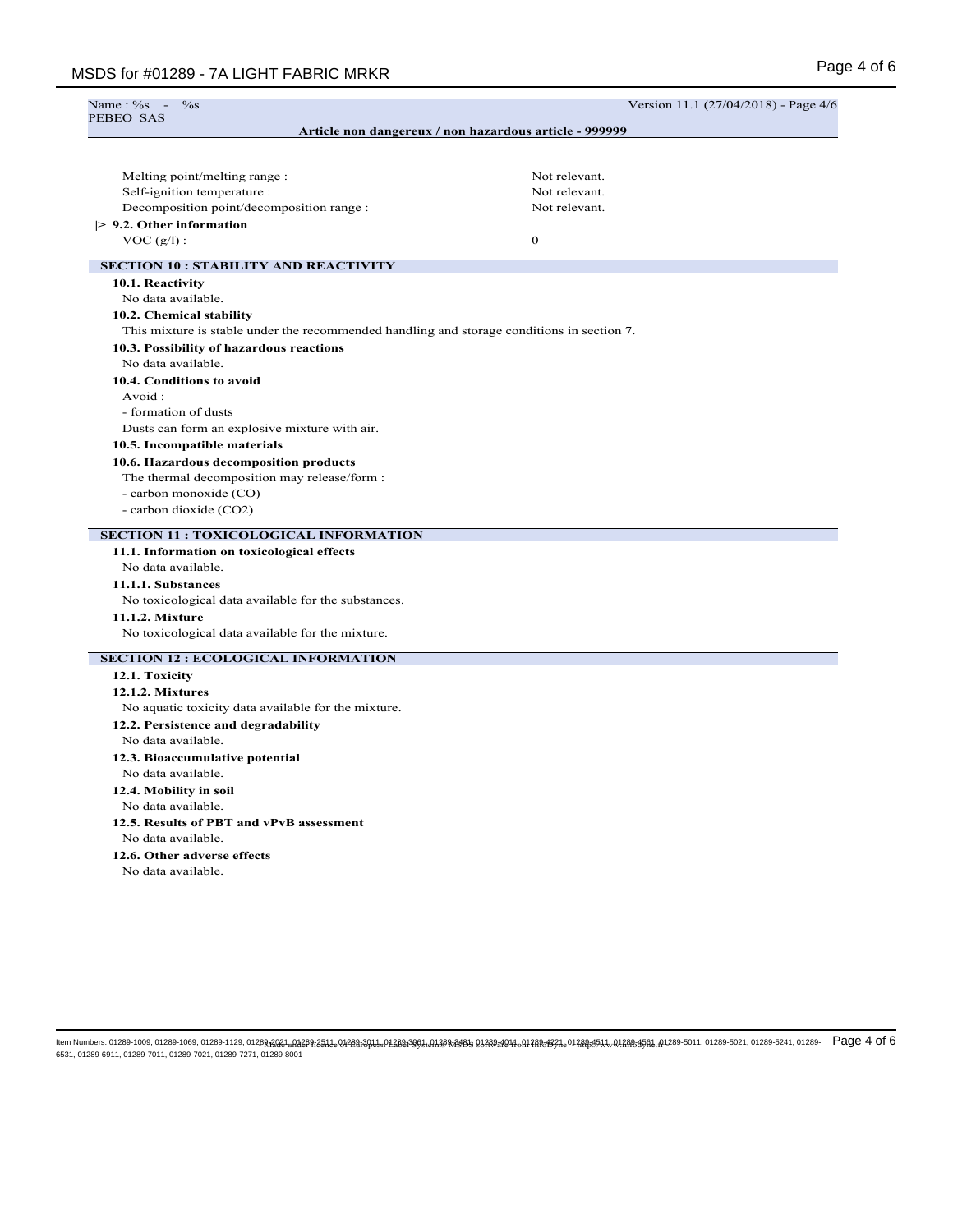No data available.

No data available. **12.6. Other adverse effects** No data available.

**12.5. Results of PBT and vPvB assessment**

| Name: %s<br>$\%$ s                                                                         | Version 11.1 (27/04/2018) - Page 4/6                   |  |
|--------------------------------------------------------------------------------------------|--------------------------------------------------------|--|
| PEBEO SAS                                                                                  |                                                        |  |
|                                                                                            | Article non dangereux / non hazardous article - 999999 |  |
|                                                                                            |                                                        |  |
| Melting point/melting range :                                                              | Not relevant.                                          |  |
| Self-ignition temperature :                                                                | Not relevant.                                          |  |
| Decomposition point/decomposition range :                                                  | Not relevant.                                          |  |
| $> 9.2$ . Other information                                                                |                                                        |  |
| $VOC(g/l)$ :                                                                               | $\mathbf{0}$                                           |  |
| <b>SECTION 10: STABILITY AND REACTIVITY</b>                                                |                                                        |  |
| 10.1. Reactivity                                                                           |                                                        |  |
| No data available.                                                                         |                                                        |  |
| 10.2. Chemical stability                                                                   |                                                        |  |
| This mixture is stable under the recommended handling and storage conditions in section 7. |                                                        |  |
| 10.3. Possibility of hazardous reactions                                                   |                                                        |  |
| No data available.                                                                         |                                                        |  |
| 10.4. Conditions to avoid                                                                  |                                                        |  |
| Avoid:                                                                                     |                                                        |  |
| - formation of dusts                                                                       |                                                        |  |
| Dusts can form an explosive mixture with air.                                              |                                                        |  |
| 10.5. Incompatible materials                                                               |                                                        |  |
| 10.6. Hazardous decomposition products                                                     |                                                        |  |
| The thermal decomposition may release/form :                                               |                                                        |  |
| - carbon monoxide (CO)                                                                     |                                                        |  |
| - carbon dioxide (CO2)                                                                     |                                                        |  |
| <b>SECTION 11 : TOXICOLOGICAL INFORMATION</b>                                              |                                                        |  |
| 11.1. Information on toxicological effects                                                 |                                                        |  |
| No data available.                                                                         |                                                        |  |
| 11.1.1. Substances                                                                         |                                                        |  |
| No toxicological data available for the substances.                                        |                                                        |  |
| 11.1.2. Mixture                                                                            |                                                        |  |
| No toxicological data available for the mixture.                                           |                                                        |  |
| <b>SECTION 12 : ECOLOGICAL INFORMATION</b>                                                 |                                                        |  |
| 12.1. Toxicity                                                                             |                                                        |  |
| 12.1.2. Mixtures                                                                           |                                                        |  |
| No aquatic toxicity data available for the mixture.                                        |                                                        |  |
| 12.2. Persistence and degradability                                                        |                                                        |  |
| No data available.                                                                         |                                                        |  |
| 12.3. Bioaccumulative potential                                                            |                                                        |  |
| No data available.                                                                         |                                                        |  |
| 12.4. Mobility in soil                                                                     |                                                        |  |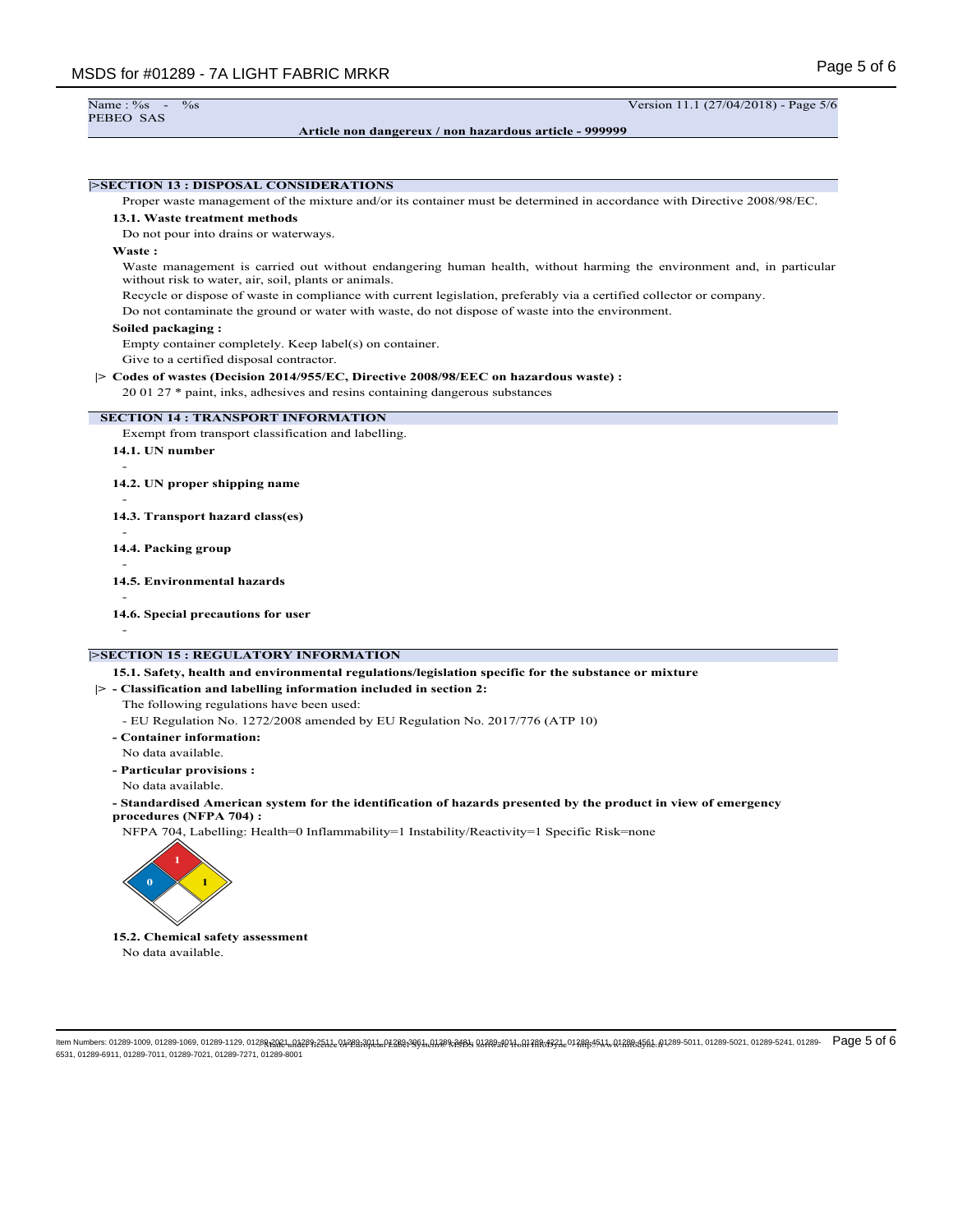```
PEBEO SAS
```
**Article non dangereux / non hazardous article - 999999**

Name : %s - %s Version 11.1 (27/04/2018) - Page 5/6

# **|>SECTION 13 : DISPOSAL CONSIDERATIONS** Proper waste management of the mixture and/or its container must be determined in accordance with Directive 2008/98/EC. **13.1. Waste treatment methods** Do not pour into drains or waterways. **Waste :** Waste management is carried out without endangering human health, without harming the environment and, in particular without risk to water, air, soil, plants or animals. Recycle or dispose of waste in compliance with current legislation, preferably via a certified collector or company. Do not contaminate the ground or water with waste, do not dispose of waste into the environment. **Soiled packaging :** Empty container completely. Keep label(s) on container. Give to a certified disposal contractor. **|> Codes of wastes (Decision 2014/955/EC, Directive 2008/98/EEC on hazardous waste) :** 20 01 27 \* paint, inks, adhesives and resins containing dangerous substances **SECTION 14 : TRANSPORT INFORMATION** Exempt from transport classification and labelling. **14.1. UN number** - **14.2. UN proper shipping name** - **14.3. Transport hazard class(es)** - **14.4. Packing group** - **14.5. Environmental hazards** - **14.6. Special precautions for user** - **|>SECTION 15 : REGULATORY INFORMATION 15.1. Safety, health and environmental regulations/legislation specific for the substance or mixture |> - Classification and labelling information included in section 2:**

The following regulations have been used:

- EU Regulation No. 1272/2008 amended by EU Regulation No. 2017/776 (ATP 10)

**- Container information:** No data available.

**- Particular provisions :**

No data available.

**- Standardised American system for the identification of hazards presented by the product in view of emergency procedures (NFPA 704) :**

NFPA 704, Labelling: Health=0 Inflammability=1 Instability/Reactivity=1 Specific Risk=none



**15.2. Chemical safety assessment** No data available.